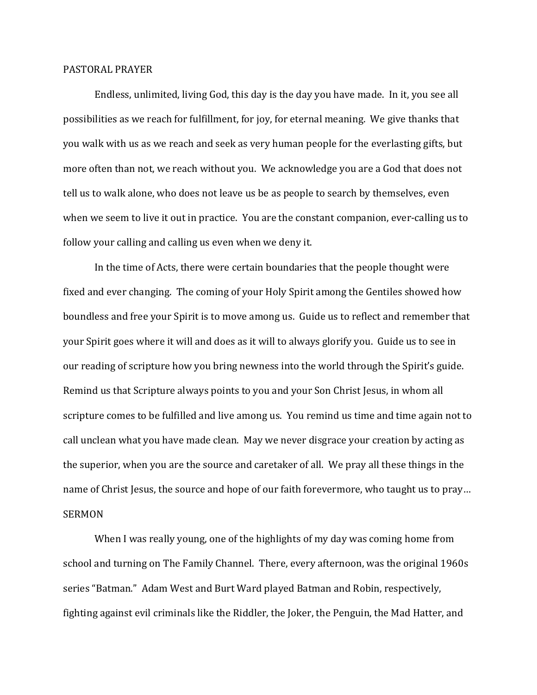## PASTORAL PRAYER

 Endless, unlimited, living God, this day is the day you have made. In it, you see all possibilities as we reach for fulfillment, for joy, for eternal meaning. We give thanks that you walk with us as we reach and seek as very human people for the everlasting gifts, but more often than not, we reach without you. We acknowledge you are a God that does not tell us to walk alone, who does not leave us be as people to search by themselves, even when we seem to live it out in practice. You are the constant companion, ever-calling us to follow your calling and calling us even when we deny it.

 In the time of Acts, there were certain boundaries that the people thought were fixed and ever changing. The coming of your Holy Spirit among the Gentiles showed how boundless and free your Spirit is to move among us. Guide us to reflect and remember that your Spirit goes where it will and does as it will to always glorify you. Guide us to see in our reading of scripture how you bring newness into the world through the Spirit's guide. Remind us that Scripture always points to you and your Son Christ Jesus, in whom all scripture comes to be fulfilled and live among us. You remind us time and time again not to call unclean what you have made clean. May we never disgrace your creation by acting as the superior, when you are the source and caretaker of all. We pray all these things in the name of Christ Jesus, the source and hope of our faith forevermore, who taught us to pray… SERMON

 When I was really young, one of the highlights of my day was coming home from school and turning on The Family Channel. There, every afternoon, was the original 1960s series "Batman." Adam West and Burt Ward played Batman and Robin, respectively, fighting against evil criminals like the Riddler, the Joker, the Penguin, the Mad Hatter, and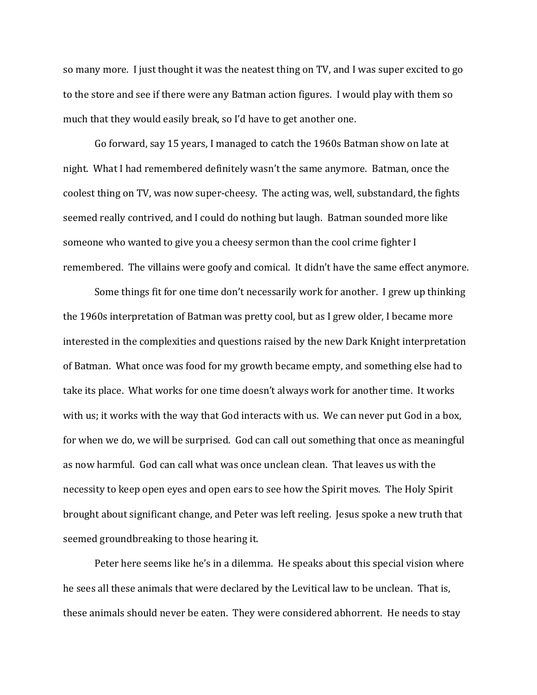so many more. I just thought it was the neatest thing on TV, and I was super excited to go to the store and see if there were any Batman action figures. I would play with them so much that they would easily break, so I'd have to get another one.

 Go forward, say 15 years, I managed to catch the 1960s Batman show on late at night. What I had remembered definitely wasn't the same anymore. Batman, once the coolest thing on TV, was now super-cheesy. The acting was, well, substandard, the fights seemed really contrived, and I could do nothing but laugh. Batman sounded more like someone who wanted to give you a cheesy sermon than the cool crime fighter I remembered. The villains were goofy and comical. It didn't have the same effect anymore.

 Some things fit for one time don't necessarily work for another. I grew up thinking the 1960s interpretation of Batman was pretty cool, but as I grew older, I became more interested in the complexities and questions raised by the new Dark Knight interpretation of Batman. What once was food for my growth became empty, and something else had to take its place. What works for one time doesn't always work for another time. It works with us; it works with the way that God interacts with us. We can never put God in a box, for when we do, we will be surprised. God can call out something that once as meaningful as now harmful. God can call what was once unclean clean. That leaves us with the necessity to keep open eyes and open ears to see how the Spirit moves. The Holy Spirit brought about significant change, and Peter was left reeling. Jesus spoke a new truth that seemed groundbreaking to those hearing it.

 Peter here seems like he's in a dilemma. He speaks about this special vision where he sees all these animals that were declared by the Levitical law to be unclean. That is, these animals should never be eaten. They were considered abhorrent. He needs to stay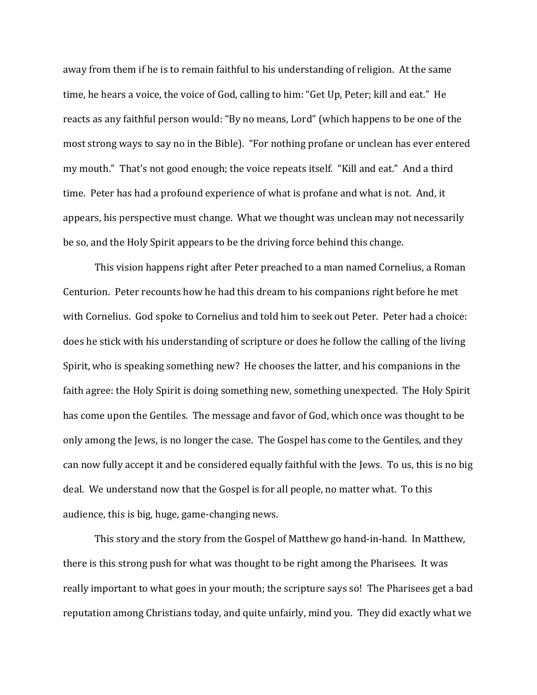away from them if he is to remain faithful to his understanding of religion. At the same time, he hears a voice, the voice of God, calling to him: "Get Up, Peter; kill and eat." He reacts as any faithful person would: "By no means, Lord" (which happens to be one of the most strong ways to say no in the Bible). "For nothing profane or unclean has ever entered my mouth." That's not good enough; the voice repeats itself. "Kill and eat." And a third time. Peter has had a profound experience of what is profane and what is not. And, it appears, his perspective must change. What we thought was unclean may not necessarily be so, and the Holy Spirit appears to be the driving force behind this change.

 This vision happens right after Peter preached to a man named Cornelius, a Roman Centurion. Peter recounts how he had this dream to his companions right before he met with Cornelius. God spoke to Cornelius and told him to seek out Peter. Peter had a choice: does he stick with his understanding of scripture or does he follow the calling of the living Spirit, who is speaking something new? He chooses the latter, and his companions in the faith agree: the Holy Spirit is doing something new, something unexpected. The Holy Spirit has come upon the Gentiles. The message and favor of God, which once was thought to be only among the Jews, is no longer the case. The Gospel has come to the Gentiles, and they can now fully accept it and be considered equally faithful with the Jews. To us, this is no big deal. We understand now that the Gospel is for all people, no matter what. To this audience, this is big, huge, game-changing news.

 This story and the story from the Gospel of Matthew go hand-in-hand. In Matthew, there is this strong push for what was thought to be right among the Pharisees. It was really important to what goes in your mouth; the scripture says so! The Pharisees get a bad reputation among Christians today, and quite unfairly, mind you. They did exactly what we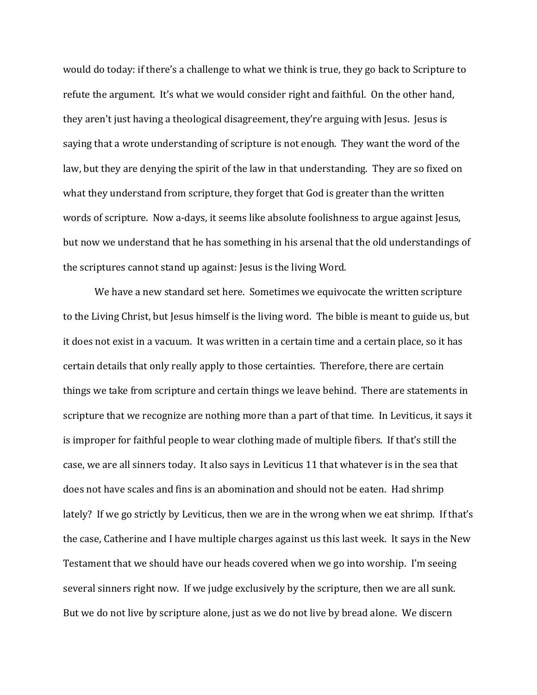would do today: if there's a challenge to what we think is true, they go back to Scripture to refute the argument. It's what we would consider right and faithful. On the other hand, they aren't just having a theological disagreement, they're arguing with Jesus. Jesus is saying that a wrote understanding of scripture is not enough. They want the word of the law, but they are denying the spirit of the law in that understanding. They are so fixed on what they understand from scripture, they forget that God is greater than the written words of scripture. Now a-days, it seems like absolute foolishness to argue against Jesus, but now we understand that he has something in his arsenal that the old understandings of the scriptures cannot stand up against: Jesus is the living Word.

 We have a new standard set here. Sometimes we equivocate the written scripture to the Living Christ, but Jesus himself is the living word. The bible is meant to guide us, but it does not exist in a vacuum. It was written in a certain time and a certain place, so it has certain details that only really apply to those certainties. Therefore, there are certain things we take from scripture and certain things we leave behind. There are statements in scripture that we recognize are nothing more than a part of that time. In Leviticus, it says it is improper for faithful people to wear clothing made of multiple fibers. If that's still the case, we are all sinners today. It also says in Leviticus 11 that whatever is in the sea that does not have scales and fins is an abomination and should not be eaten. Had shrimp lately? If we go strictly by Leviticus, then we are in the wrong when we eat shrimp. If that's the case, Catherine and I have multiple charges against us this last week. It says in the New Testament that we should have our heads covered when we go into worship. I'm seeing several sinners right now. If we judge exclusively by the scripture, then we are all sunk. But we do not live by scripture alone, just as we do not live by bread alone. We discern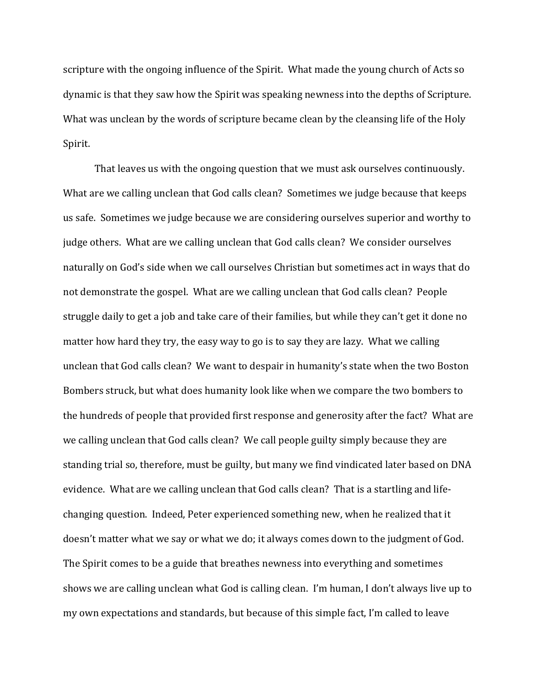scripture with the ongoing influence of the Spirit. What made the young church of Acts so dynamic is that they saw how the Spirit was speaking newness into the depths of Scripture. What was unclean by the words of scripture became clean by the cleansing life of the Holy Spirit.

 That leaves us with the ongoing question that we must ask ourselves continuously. What are we calling unclean that God calls clean? Sometimes we judge because that keeps us safe. Sometimes we judge because we are considering ourselves superior and worthy to judge others. What are we calling unclean that God calls clean? We consider ourselves naturally on God's side when we call ourselves Christian but sometimes act in ways that do not demonstrate the gospel. What are we calling unclean that God calls clean? People struggle daily to get a job and take care of their families, but while they can't get it done no matter how hard they try, the easy way to go is to say they are lazy. What we calling unclean that God calls clean? We want to despair in humanity's state when the two Boston Bombers struck, but what does humanity look like when we compare the two bombers to the hundreds of people that provided first response and generosity after the fact? What are we calling unclean that God calls clean? We call people guilty simply because they are standing trial so, therefore, must be guilty, but many we find vindicated later based on DNA evidence. What are we calling unclean that God calls clean? That is a startling and lifechanging question. Indeed, Peter experienced something new, when he realized that it doesn't matter what we say or what we do; it always comes down to the judgment of God. The Spirit comes to be a guide that breathes newness into everything and sometimes shows we are calling unclean what God is calling clean. I'm human, I don't always live up to my own expectations and standards, but because of this simple fact, I'm called to leave